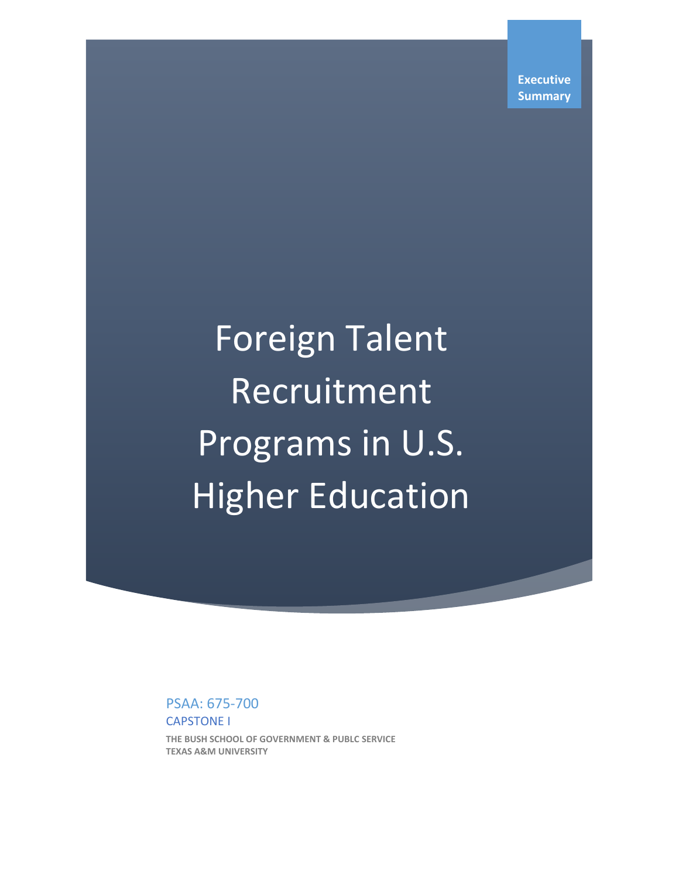**Executive Summary** 

## Foreign Talent Recruitment Programs in U.S. Higher Education

PSAA: 675-700 CAPSTONE I **THE BUSH SCHOOL OF GOVERNMENT & PUBLC SERVICE TEXAS A&M UNIVERSITY**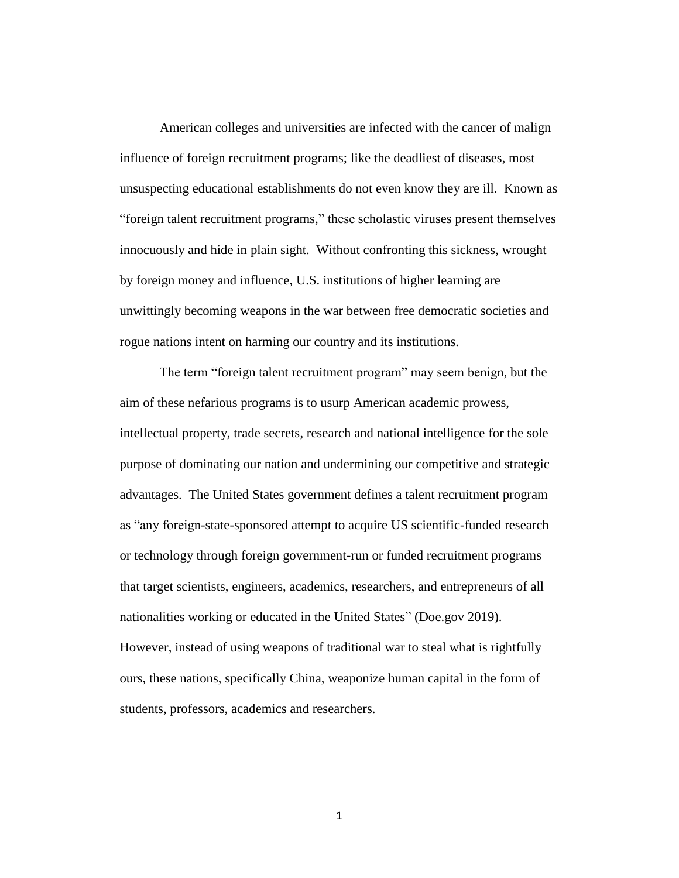American colleges and universities are infected with the cancer of malign influence of foreign recruitment programs; like the deadliest of diseases, most unsuspecting educational establishments do not even know they are ill. Known as "foreign talent recruitment programs," these scholastic viruses present themselves innocuously and hide in plain sight. Without confronting this sickness, wrought by foreign money and influence, U.S. institutions of higher learning are unwittingly becoming weapons in the war between free democratic societies and rogue nations intent on harming our country and its institutions.

The term "foreign talent recruitment program" may seem benign, but the aim of these nefarious programs is to usurp American academic prowess, intellectual property, trade secrets, research and national intelligence for the sole purpose of dominating our nation and undermining our competitive and strategic advantages. The United States government defines a talent recruitment program as "any foreign-state-sponsored attempt to acquire US scientific-funded research or technology through foreign government-run or funded recruitment programs that target scientists, engineers, academics, researchers, and entrepreneurs of all nationalities working or educated in the United States" (Doe.gov 2019).

However, instead of using weapons of traditional war to steal what is rightfully ours, these nations, specifically China, weaponize human capital in the form of students, professors, academics and researchers.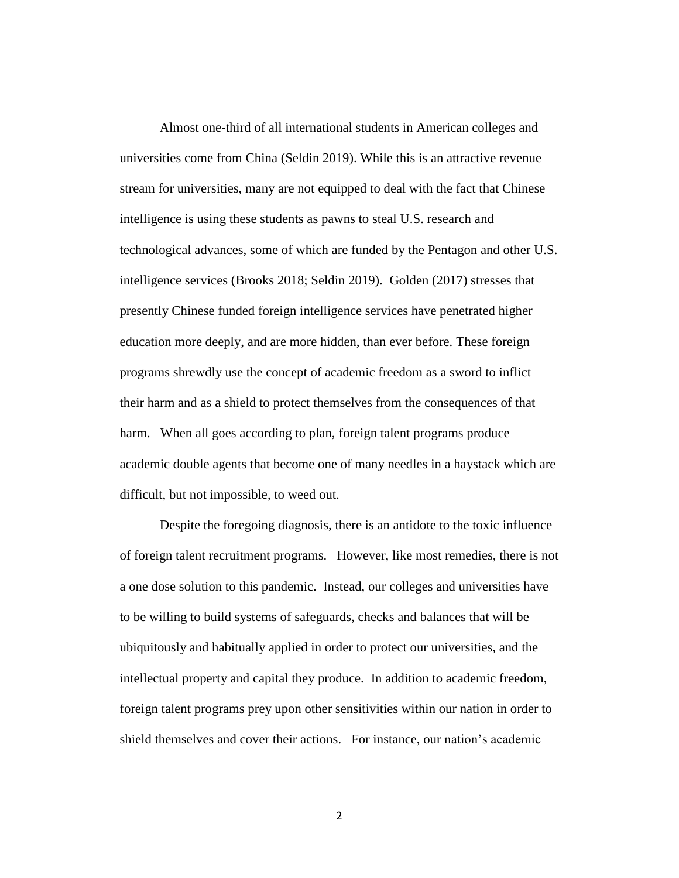Almost one-third of all international students in American colleges and universities come from China (Seldin 2019). While this is an attractive revenue stream for universities, many are not equipped to deal with the fact that Chinese intelligence is using these students as pawns to steal U.S. research and technological advances, some of which are funded by the Pentagon and other U.S. intelligence services (Brooks 2018; Seldin 2019). Golden (2017) stresses that presently Chinese funded foreign intelligence services have penetrated higher education more deeply, and are more hidden, than ever before. These foreign programs shrewdly use the concept of academic freedom as a sword to inflict their harm and as a shield to protect themselves from the consequences of that harm. When all goes according to plan, foreign talent programs produce academic double agents that become one of many needles in a haystack which are difficult, but not impossible, to weed out.

Despite the foregoing diagnosis, there is an antidote to the toxic influence of foreign talent recruitment programs. However, like most remedies, there is not a one dose solution to this pandemic. Instead, our colleges and universities have to be willing to build systems of safeguards, checks and balances that will be ubiquitously and habitually applied in order to protect our universities, and the intellectual property and capital they produce. In addition to academic freedom, foreign talent programs prey upon other sensitivities within our nation in order to shield themselves and cover their actions. For instance, our nation's academic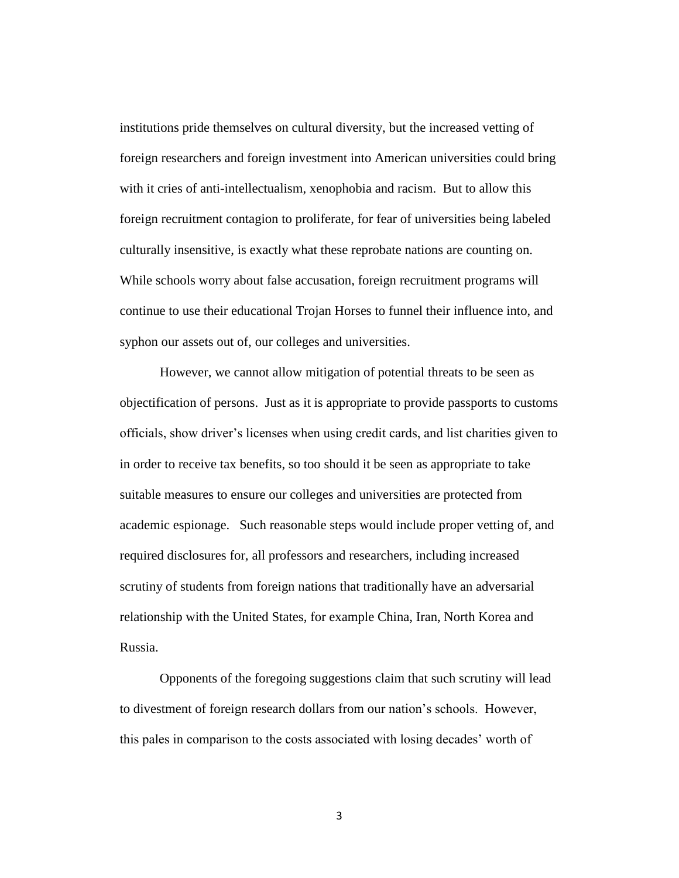institutions pride themselves on cultural diversity, but the increased vetting of foreign researchers and foreign investment into American universities could bring with it cries of anti-intellectualism, xenophobia and racism. But to allow this foreign recruitment contagion to proliferate, for fear of universities being labeled culturally insensitive, is exactly what these reprobate nations are counting on. While schools worry about false accusation, foreign recruitment programs will continue to use their educational Trojan Horses to funnel their influence into, and syphon our assets out of, our colleges and universities.

However, we cannot allow mitigation of potential threats to be seen as objectification of persons. Just as it is appropriate to provide passports to customs officials, show driver's licenses when using credit cards, and list charities given to in order to receive tax benefits, so too should it be seen as appropriate to take suitable measures to ensure our colleges and universities are protected from academic espionage. Such reasonable steps would include proper vetting of, and required disclosures for, all professors and researchers, including increased scrutiny of students from foreign nations that traditionally have an adversarial relationship with the United States, for example China, Iran, North Korea and Russia.

Opponents of the foregoing suggestions claim that such scrutiny will lead to divestment of foreign research dollars from our nation's schools. However, this pales in comparison to the costs associated with losing decades' worth of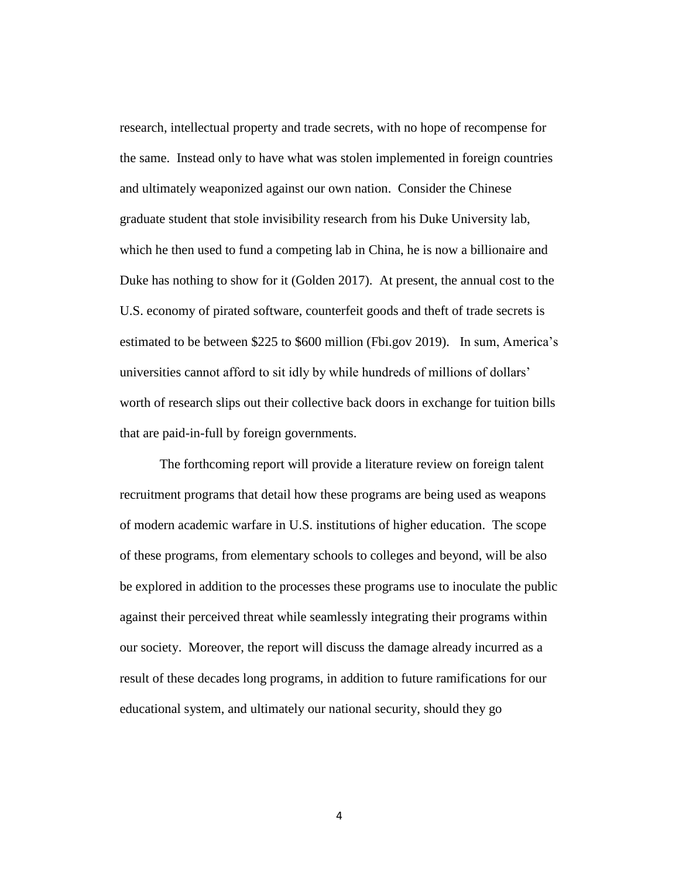research, intellectual property and trade secrets, with no hope of recompense for the same. Instead only to have what was stolen implemented in foreign countries and ultimately weaponized against our own nation. Consider the Chinese graduate student that stole invisibility research from his Duke University lab, which he then used to fund a competing lab in China, he is now a billionaire and Duke has nothing to show for it (Golden 2017). At present, the annual cost to the U.S. economy of pirated software, counterfeit goods and theft of trade secrets is estimated to be between \$225 to \$600 million (Fbi.gov 2019). In sum, America's universities cannot afford to sit idly by while hundreds of millions of dollars' worth of research slips out their collective back doors in exchange for tuition bills that are paid-in-full by foreign governments.

The forthcoming report will provide a literature review on foreign talent recruitment programs that detail how these programs are being used as weapons of modern academic warfare in U.S. institutions of higher education. The scope of these programs, from elementary schools to colleges and beyond, will be also be explored in addition to the processes these programs use to inoculate the public against their perceived threat while seamlessly integrating their programs within our society. Moreover, the report will discuss the damage already incurred as a result of these decades long programs, in addition to future ramifications for our educational system, and ultimately our national security, should they go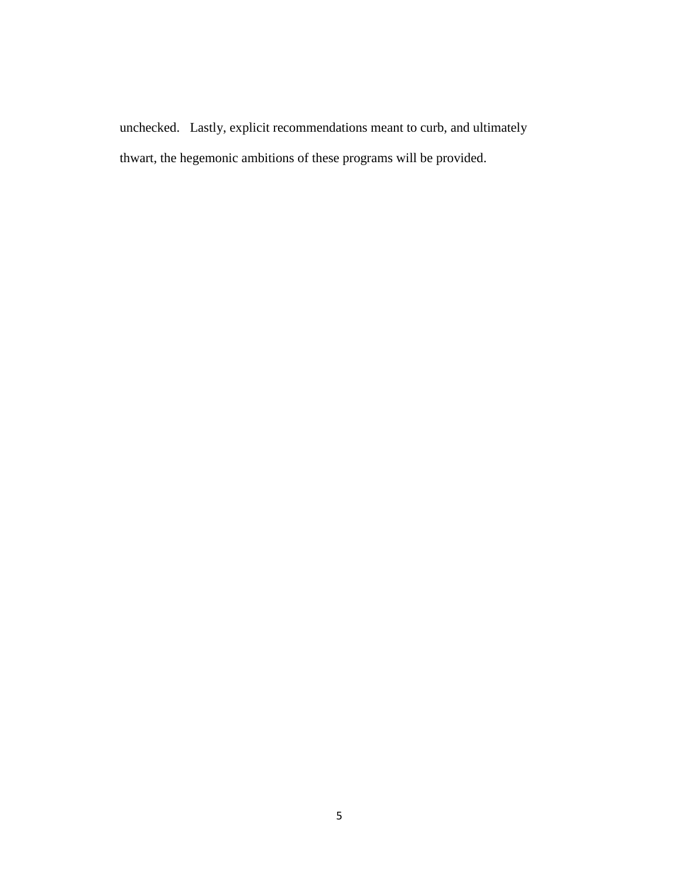unchecked. Lastly, explicit recommendations meant to curb, and ultimately thwart, the hegemonic ambitions of these programs will be provided.